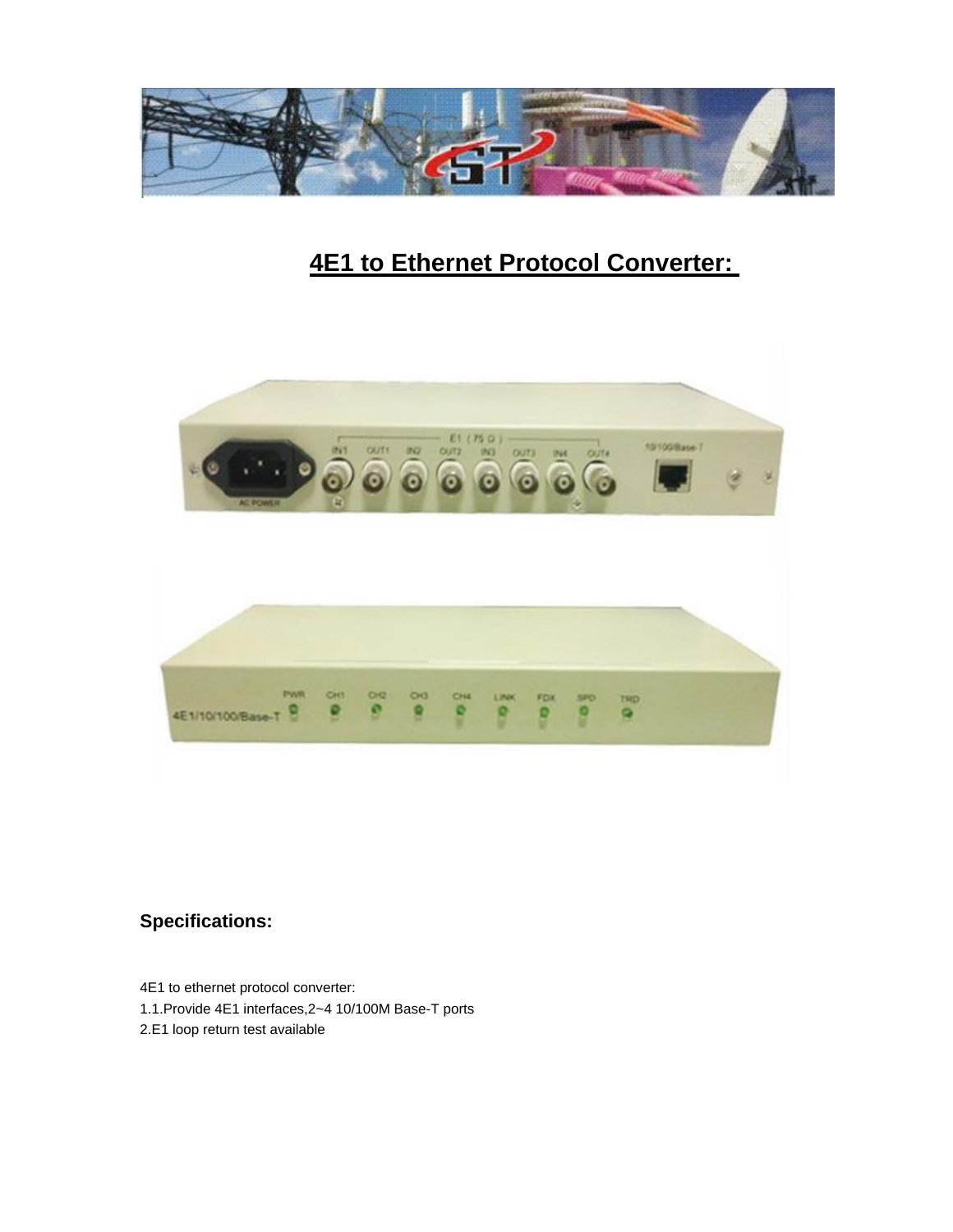

## **4E1 to Ethernet Protocol Converter:**



## **Specifications:**

4E1 to ethernet protocol converter:

- 1.1.Provide 4E1 interfaces,2~4 10/100M Base-T ports
- 2.E1 loop return test available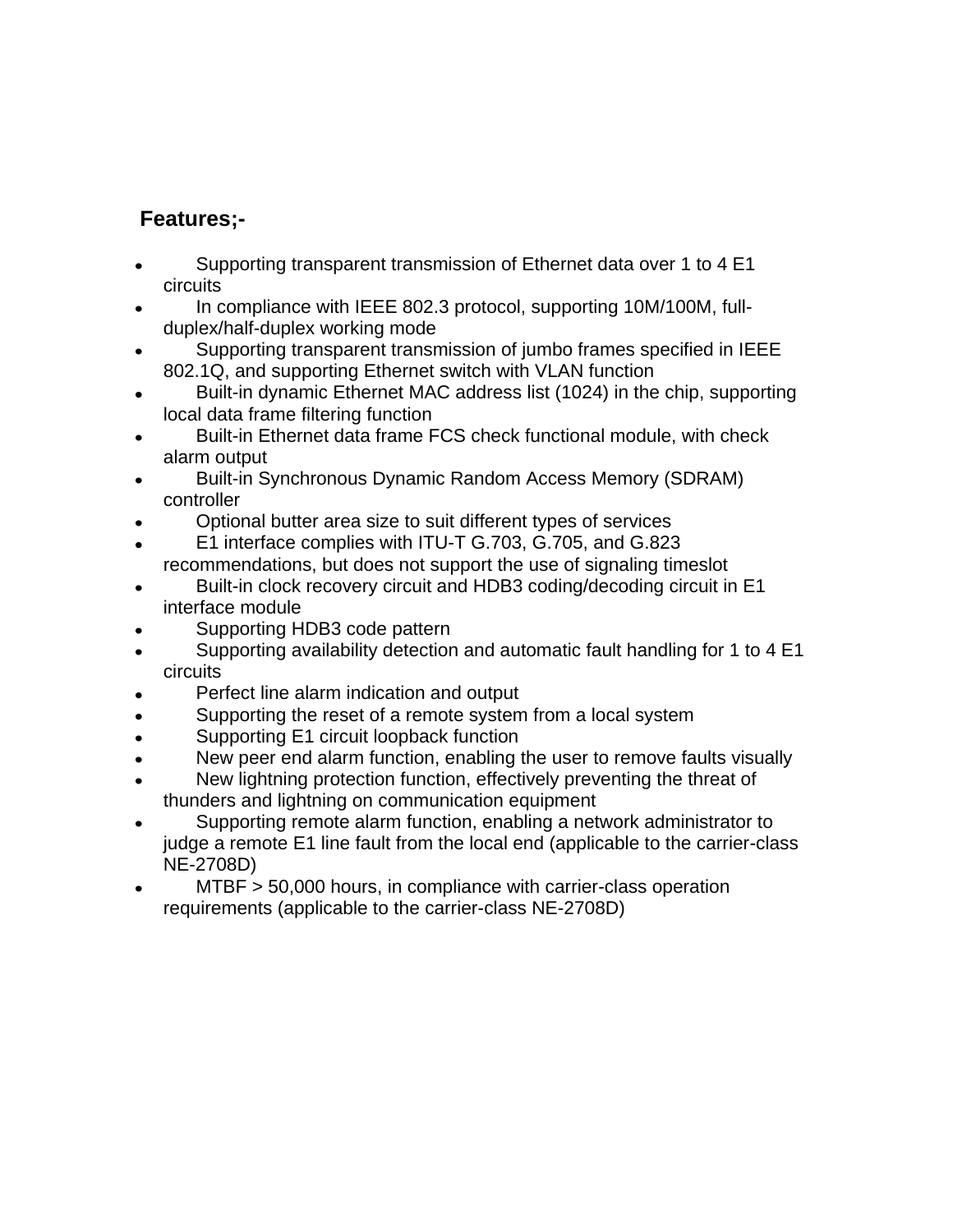## **Features;-**

- Supporting transparent transmission of Ethernet data over 1 to 4 E1 circuits
- In compliance with IEEE 802.3 protocol, supporting 10M/100M, fullduplex/half-duplex working mode
- Supporting transparent transmission of jumbo frames specified in IEEE 802.1Q, and supporting Ethernet switch with VLAN function
- Built-in dynamic Ethernet MAC address list (1024) in the chip, supporting local data frame filtering function
- Built-in Ethernet data frame FCS check functional module, with check alarm output
- Built-in Synchronous Dynamic Random Access Memory (SDRAM) controller
- Optional butter area size to suit different types of services
- E1 interface complies with ITU-T G.703, G.705, and G.823
- recommendations, but does not support the use of signaling timeslot
- Built-in clock recovery circuit and HDB3 coding/decoding circuit in E1 interface module
- Supporting HDB3 code pattern
- Supporting availability detection and automatic fault handling for 1 to 4 E1  $\bullet$ circuits
- Perfect line alarm indication and output
- Supporting the reset of a remote system from a local system
- Supporting E1 circuit loopback function
- New peer end alarm function, enabling the user to remove faults visually
- New lightning protection function, effectively preventing the threat of thunders and lightning on communication equipment
- Supporting remote alarm function, enabling a network administrator to judge a remote E1 line fault from the local end (applicable to the carrier-class NE-2708D)
- MTBF > 50,000 hours, in compliance with carrier-class operation requirements (applicable to the carrier-class NE-2708D)